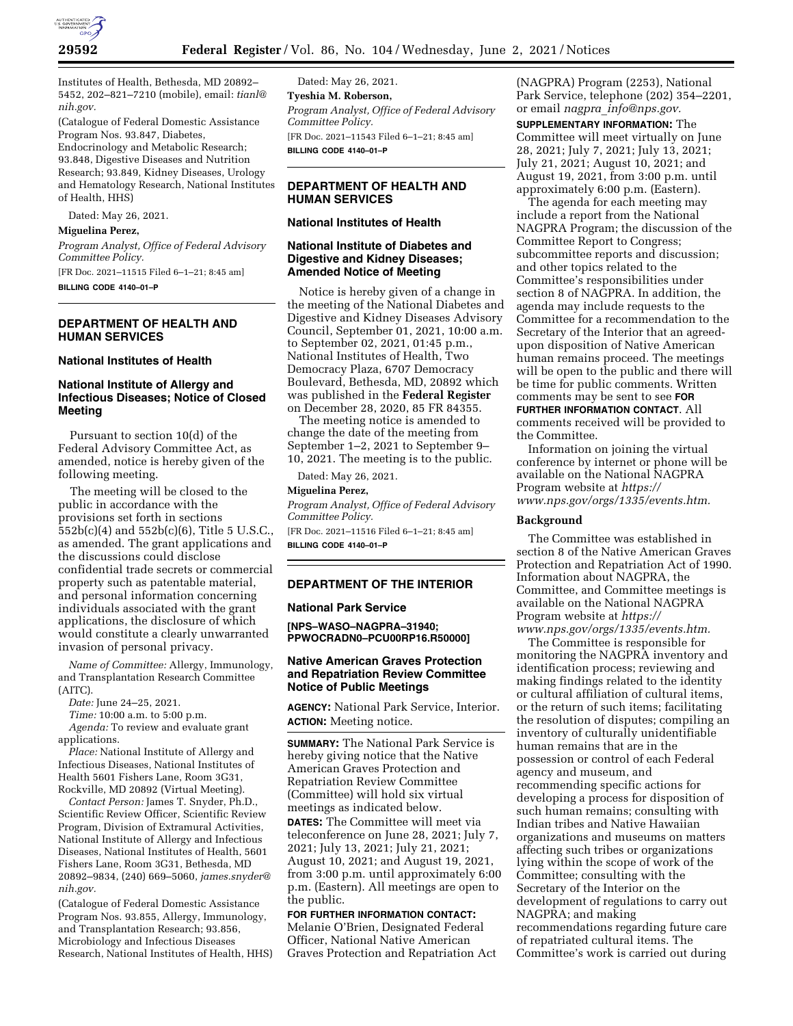

Institutes of Health, Bethesda, MD 20892– 5452, 202–821–7210 (mobile), email: *[tianl@](mailto:tianl@nih.gov) [nih.gov.](mailto:tianl@nih.gov)* 

(Catalogue of Federal Domestic Assistance Program Nos. 93.847, Diabetes, Endocrinology and Metabolic Research; 93.848, Digestive Diseases and Nutrition Research; 93.849, Kidney Diseases, Urology and Hematology Research, National Institutes of Health, HHS)

Dated: May 26, 2021.

#### **Miguelina Perez,**

*Program Analyst, Office of Federal Advisory Committee Policy.* 

[FR Doc. 2021–11515 Filed 6–1–21; 8:45 am]

**BILLING CODE 4140–01–P** 

### **DEPARTMENT OF HEALTH AND HUMAN SERVICES**

### **National Institutes of Health**

# **National Institute of Allergy and Infectious Diseases; Notice of Closed Meeting**

Pursuant to section 10(d) of the Federal Advisory Committee Act, as amended, notice is hereby given of the following meeting.

The meeting will be closed to the public in accordance with the provisions set forth in sections 552b(c)(4) and 552b(c)(6), Title 5 U.S.C., as amended. The grant applications and the discussions could disclose confidential trade secrets or commercial property such as patentable material, and personal information concerning individuals associated with the grant applications, the disclosure of which would constitute a clearly unwarranted invasion of personal privacy.

*Name of Committee:* Allergy, Immunology, and Transplantation Research Committee (AITC).

*Date:* June 24–25, 2021.

*Time:* 10:00 a.m. to 5:00 p.m.

*Agenda:* To review and evaluate grant applications.

*Place:* National Institute of Allergy and Infectious Diseases, National Institutes of Health 5601 Fishers Lane, Room 3G31, Rockville, MD 20892 (Virtual Meeting).

*Contact Person:* James T. Snyder, Ph.D., Scientific Review Officer, Scientific Review Program, Division of Extramural Activities, National Institute of Allergy and Infectious Diseases, National Institutes of Health, 5601 Fishers Lane, Room 3G31, Bethesda, MD 20892–9834, (240) 669–5060, *[james.snyder@](mailto:james.snyder@nih.gov) [nih.gov.](mailto:james.snyder@nih.gov)* 

(Catalogue of Federal Domestic Assistance Program Nos. 93.855, Allergy, Immunology, and Transplantation Research; 93.856, Microbiology and Infectious Diseases Research, National Institutes of Health, HHS)

Dated: May 26, 2021. **Tyeshia M. Roberson,**  *Program Analyst, Office of Federal Advisory Committee Policy.*  [FR Doc. 2021–11543 Filed 6–1–21; 8:45 am] **BILLING CODE 4140–01–P** 

# **DEPARTMENT OF HEALTH AND HUMAN SERVICES**

### **National Institutes of Health**

### **National Institute of Diabetes and Digestive and Kidney Diseases; Amended Notice of Meeting**

Notice is hereby given of a change in the meeting of the National Diabetes and Digestive and Kidney Diseases Advisory Council, September 01, 2021, 10:00 a.m. to September 02, 2021, 01:45 p.m., National Institutes of Health, Two Democracy Plaza, 6707 Democracy Boulevard, Bethesda, MD, 20892 which was published in the **Federal Register**  on December 28, 2020, 85 FR 84355.

The meeting notice is amended to change the date of the meeting from September 1–2, 2021 to September 9– 10, 2021. The meeting is to the public.

Dated: May 26, 2021.

# **Miguelina Perez,**

*Program Analyst, Office of Federal Advisory Committee Policy.* 

[FR Doc. 2021–11516 Filed 6–1–21; 8:45 am] **BILLING CODE 4140–01–P** 

### **DEPARTMENT OF THE INTERIOR**

#### **National Park Service**

**[NPS–WASO–NAGPRA–31940; PPWOCRADN0–PCU00RP16.R50000]** 

# **Native American Graves Protection and Repatriation Review Committee Notice of Public Meetings**

**AGENCY:** National Park Service, Interior. **ACTION:** Meeting notice.

**SUMMARY:** The National Park Service is hereby giving notice that the Native American Graves Protection and Repatriation Review Committee (Committee) will hold six virtual meetings as indicated below.

**DATES:** The Committee will meet via teleconference on June 28, 2021; July 7, 2021; July 13, 2021; July 21, 2021; August 10, 2021; and August 19, 2021, from 3:00 p.m. until approximately 6:00 p.m. (Eastern). All meetings are open to the public.

### **FOR FURTHER INFORMATION CONTACT:**

Melanie O'Brien, Designated Federal Officer, National Native American Graves Protection and Repatriation Act (NAGPRA) Program (2253), National Park Service, telephone (202) 354–2201, or email *nagpra*\_*[info@nps.gov.](mailto:nagpra_info@nps.gov)* 

**SUPPLEMENTARY INFORMATION:** The Committee will meet virtually on June 28, 2021; July 7, 2021; July 13, 2021; July 21, 2021; August 10, 2021; and August 19, 2021, from 3:00 p.m. until approximately 6:00 p.m. (Eastern).

The agenda for each meeting may include a report from the National NAGPRA Program; the discussion of the Committee Report to Congress; subcommittee reports and discussion; and other topics related to the Committee's responsibilities under section 8 of NAGPRA. In addition, the agenda may include requests to the Committee for a recommendation to the Secretary of the Interior that an agreedupon disposition of Native American human remains proceed. The meetings will be open to the public and there will be time for public comments. Written comments may be sent to see **FOR FURTHER INFORMATION CONTACT**. All comments received will be provided to the Committee.

Information on joining the virtual conference by internet or phone will be available on the National NAGPRA Program website at *[https://](https://www.nps.gov/orgs/1335/events.htm) [www.nps.gov/orgs/1335/events.htm.](https://www.nps.gov/orgs/1335/events.htm)* 

#### **Background**

The Committee was established in section 8 of the Native American Graves Protection and Repatriation Act of 1990. Information about NAGPRA, the Committee, and Committee meetings is available on the National NAGPRA Program website at *[https://](https://www.nps.gov/orgs/1335/events.htm) [www.nps.gov/orgs/1335/events.htm.](https://www.nps.gov/orgs/1335/events.htm)* 

The Committee is responsible for monitoring the NAGPRA inventory and identification process; reviewing and making findings related to the identity or cultural affiliation of cultural items, or the return of such items; facilitating the resolution of disputes; compiling an inventory of culturally unidentifiable human remains that are in the possession or control of each Federal agency and museum, and recommending specific actions for developing a process for disposition of such human remains; consulting with Indian tribes and Native Hawaiian organizations and museums on matters affecting such tribes or organizations lying within the scope of work of the Committee; consulting with the Secretary of the Interior on the development of regulations to carry out NAGPRA; and making recommendations regarding future care of repatriated cultural items. The Committee's work is carried out during